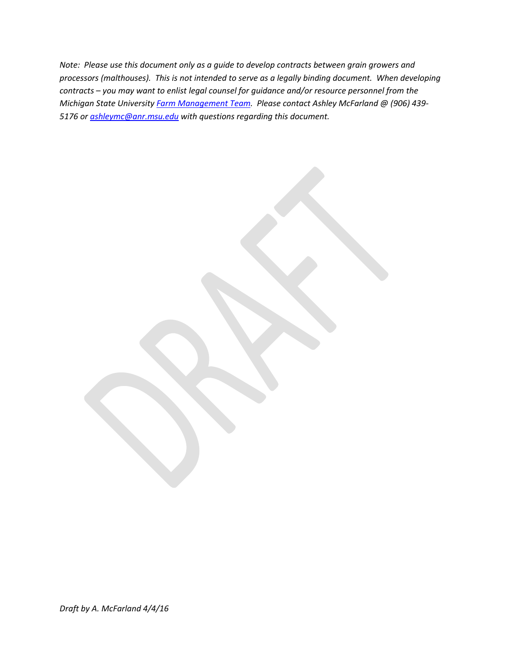*Note: Please use this document only as a guide to develop contracts between grain growers and processors (malthouses). This is not intended to serve as a legally binding document. When developing contracts – you may want to enlist legal counsel for guidance and/or resource personnel from the Michigan State University [Farm Management Team.](http://msue.anr.msu.edu/topic/info/farm_management) Please contact Ashley McFarland @ (906) 439- 5176 o[r ashleymc@anr.msu.edu](mailto:ashleymc@anr.msu.edu) with questions regarding this document.*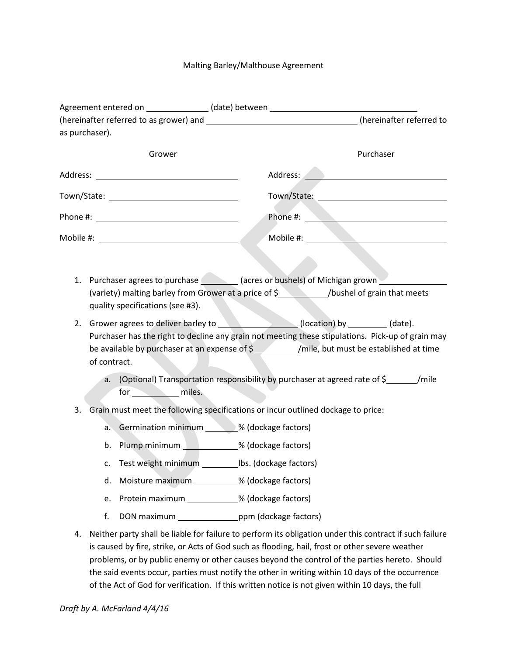## Malting Barley/Malthouse Agreement

|    |                                                                                                                                                                                            | Agreement entered on _______________(date) between _____________________________                                                 |  |                                           |                                                                                                         |  |
|----|--------------------------------------------------------------------------------------------------------------------------------------------------------------------------------------------|----------------------------------------------------------------------------------------------------------------------------------|--|-------------------------------------------|---------------------------------------------------------------------------------------------------------|--|
|    |                                                                                                                                                                                            |                                                                                                                                  |  |                                           | (hereinafter referred to as grower) and __________________________________(hereinafter referred to      |  |
|    | as purchaser).                                                                                                                                                                             |                                                                                                                                  |  |                                           |                                                                                                         |  |
|    |                                                                                                                                                                                            | Grower                                                                                                                           |  |                                           | Purchaser                                                                                               |  |
|    |                                                                                                                                                                                            |                                                                                                                                  |  | Address: <u>Alexander Manuel Address:</u> |                                                                                                         |  |
|    |                                                                                                                                                                                            |                                                                                                                                  |  |                                           |                                                                                                         |  |
|    |                                                                                                                                                                                            |                                                                                                                                  |  |                                           |                                                                                                         |  |
|    |                                                                                                                                                                                            |                                                                                                                                  |  |                                           |                                                                                                         |  |
|    |                                                                                                                                                                                            |                                                                                                                                  |  |                                           |                                                                                                         |  |
| 1. |                                                                                                                                                                                            | Purchaser agrees to purchase __________ (acres or bushels) of Michigan grown ________                                            |  |                                           |                                                                                                         |  |
|    |                                                                                                                                                                                            | (variety) malting barley from Grower at a price of \$____________/bushel of grain that meets<br>quality specifications (see #3). |  |                                           |                                                                                                         |  |
| 2. |                                                                                                                                                                                            |                                                                                                                                  |  |                                           |                                                                                                         |  |
|    | Purchaser has the right to decline any grain not meeting these stipulations. Pick-up of grain may<br>be available by purchaser at an expense of \$ //mile, but must be established at time |                                                                                                                                  |  |                                           |                                                                                                         |  |
|    | of contract.                                                                                                                                                                               |                                                                                                                                  |  |                                           |                                                                                                         |  |
|    |                                                                                                                                                                                            |                                                                                                                                  |  |                                           | a. (Optional) Transportation responsibility by purchaser at agreed rate of \$_______/mile               |  |
|    |                                                                                                                                                                                            | for miles.                                                                                                                       |  |                                           |                                                                                                         |  |
| 3. |                                                                                                                                                                                            | Grain must meet the following specifications or incur outlined dockage to price:                                                 |  |                                           |                                                                                                         |  |
|    |                                                                                                                                                                                            | a. Germination minimum ______% (dockage factors)                                                                                 |  |                                           |                                                                                                         |  |
|    |                                                                                                                                                                                            | b. Plump minimum _____________% (dockage factors)                                                                                |  |                                           |                                                                                                         |  |
|    |                                                                                                                                                                                            | c. Test weight minimum __________ lbs. (dockage factors)                                                                         |  |                                           |                                                                                                         |  |
|    | d.                                                                                                                                                                                         | Moisture maximum ___________% (dockage factors)                                                                                  |  |                                           |                                                                                                         |  |
|    | e.                                                                                                                                                                                         | Protein maximum ____________% (dockage factors)                                                                                  |  |                                           |                                                                                                         |  |
|    | f.                                                                                                                                                                                         | DON maximum bpm (dockage factors)                                                                                                |  |                                           |                                                                                                         |  |
| 4. |                                                                                                                                                                                            | is caused by fire, strike, or Acts of God such as flooding, hail, frost or other severe weather                                  |  |                                           | Neither party shall be liable for failure to perform its obligation under this contract if such failure |  |